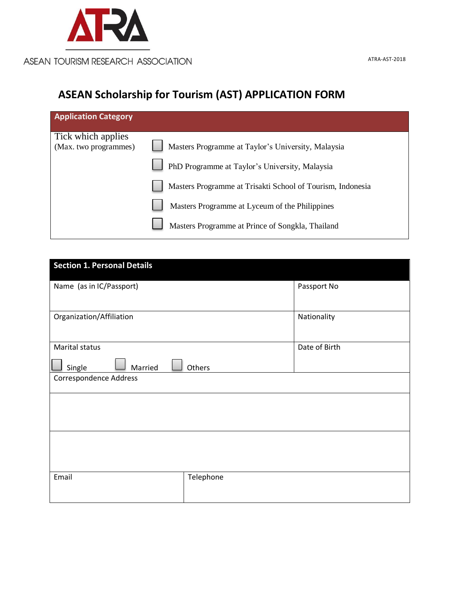

# **ASEAN Scholarship for Tourism (AST) APPLICATION FORM**

| Masters Programme at Taylor's University, Malaysia         |
|------------------------------------------------------------|
| PhD Programme at Taylor's University, Malaysia             |
| Masters Programme at Trisakti School of Tourism, Indonesia |
| Masters Programme at Lyceum of the Philippines             |
| Masters Programme at Prince of Songkla, Thailand           |
|                                                            |

| <b>Section 1. Personal Details</b> |           |               |  |  |
|------------------------------------|-----------|---------------|--|--|
| Name (as in IC/Passport)           |           | Passport No   |  |  |
|                                    |           |               |  |  |
| Organization/Affiliation           |           | Nationality   |  |  |
|                                    |           |               |  |  |
| Marital status                     |           | Date of Birth |  |  |
| Married<br>Single                  |           |               |  |  |
| <b>Correspondence Address</b>      |           |               |  |  |
|                                    |           |               |  |  |
|                                    |           |               |  |  |
|                                    |           |               |  |  |
|                                    |           |               |  |  |
|                                    |           |               |  |  |
| Email                              | Telephone |               |  |  |
|                                    |           |               |  |  |
|                                    |           |               |  |  |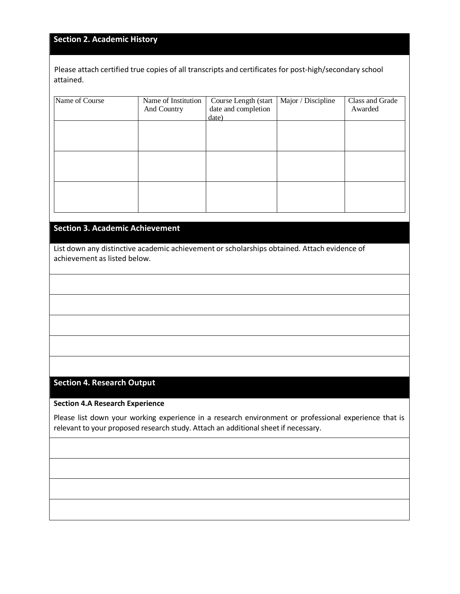## **Section 2. Academic History**

Please attach certified true copies of all transcripts and certificates for post-high/secondary school attained.

| Name of Course | Name of Institution<br>And Country | Course Length (start<br>date and completion<br>date) | Major / Discipline | Class and Grade<br>Awarded |
|----------------|------------------------------------|------------------------------------------------------|--------------------|----------------------------|
|                |                                    |                                                      |                    |                            |
|                |                                    |                                                      |                    |                            |
|                |                                    |                                                      |                    |                            |
|                |                                    |                                                      |                    |                            |

## **Section 3. Academic Achievement**

List down any distinctive academic achievement or scholarships obtained. Attach evidence of achievement as listed below.

### **Section 4. Research Output**

**Section 4.A Research Experience**

Please list down your working experience in a research environment or professional experience that is relevant to your proposed research study. Attach an additional sheet if necessary.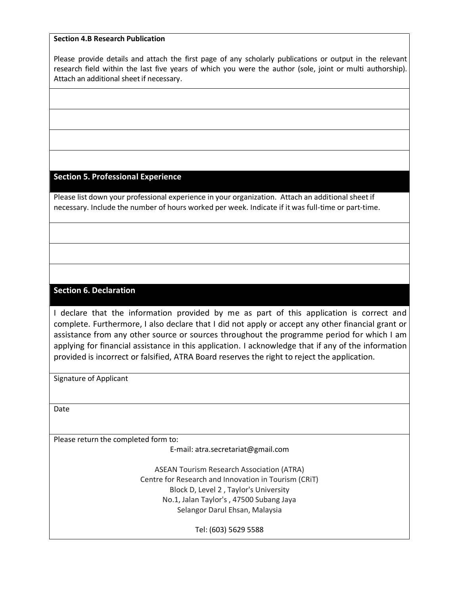#### **Section 4.B Research Publication**

Please provide details and attach the first page of any scholarly publications or output in the relevant research field within the last five years of which you were the author (sole, joint or multi authorship). Attach an additional sheet if necessary.

#### **Section 5. Professional Experience**

Please list down your professional experience in your organization. Attach an additional sheet if necessary. Include the number of hours worked per week. Indicate if it was full-time or part-time.

## **Section 6. Declaration**

I declare that the information provided by me as part of this application is correct and complete. Furthermore, I also declare that I did not apply or accept any other financial grant or assistance from any other source or sources throughout the programme period for which I am applying for financial assistance in this application. I acknowledge that if any of the information provided is incorrect or falsified, ATRA Board reserves the right to reject the application.

Signature of Applicant

Date

Please return the completed form to:

E-mail: atra.secretariat@gmail.com

ASEAN Tourism Research Association (ATRA) Centre for Research and Innovation in Tourism (CRiT) Block D, Level 2 , Taylor's University No.1, Jalan Taylor's , 47500 Subang Jaya Selangor Darul Ehsan, Malaysia

Tel: (603) 5629 5588